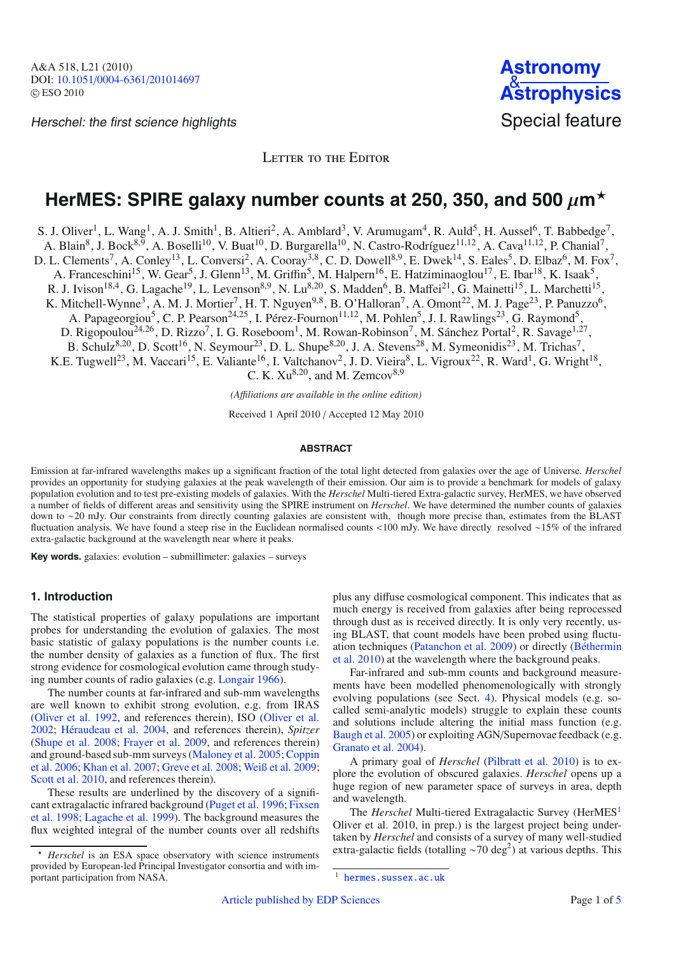Herschel: the first science highlights Special feature

LETTER TO THE EDITOR

# **HerMES: SPIRE galaxy number counts at 250, 350, and 500**  $\mu$ **m\***

S. J. Oliver<sup>1</sup>, L. Wang<sup>1</sup>, A. J. Smith<sup>1</sup>, B. Altieri<sup>2</sup>, A. Amblard<sup>3</sup>, V. Arumugam<sup>4</sup>, R. Auld<sup>5</sup>, H. Aussel<sup>6</sup>, T. Babbedge<sup>7</sup>,

A. Blain<sup>8</sup>, J. Bock<sup>8,9</sup>, A. Boselli<sup>10</sup>, V. Buat<sup>10</sup>, D. Burgarella<sup>10</sup>, N. Castro-Rodríguez<sup>11,12</sup>, A. Cava<sup>11,12</sup>, P. Chanial<sup>7</sup>,

D. L. Clements<sup>7</sup>, A. Conley<sup>13</sup>, L. Conversi<sup>2</sup>, A. Cooray<sup>3,8</sup>, C. D. Dowell<sup>8,9</sup>, E. Dwek<sup>14</sup>, S. Eales<sup>5</sup>, D. Elbaz<sup>6</sup>, M. Fox<sup>7</sup>,

A. Franceschini<sup>15</sup>, W. Gear<sup>5</sup>, J. Glenn<sup>13</sup>, M. Griffin<sup>5</sup>, M. Halpern<sup>16</sup>, E. Hatziminaoglou<sup>17</sup>, E. Ibar<sup>18</sup>, K. Isaak<sup>5</sup>,

R. J. Ivison<sup>18,4</sup>, G. Lagache<sup>19</sup>, L. Levenson<sup>8,9</sup>, N. Lu<sup>8,20</sup>, S. Madden<sup>6</sup>, B. Maffei<sup>21</sup>, G. Mainetti<sup>15</sup>, L. Marchetti<sup>15</sup>,

K. Mitchell-Wynne<sup>3</sup>, A. M. J. Mortier<sup>7</sup>, H. T. Nguyen<sup>9,8</sup>, B. O'Halloran<sup>7</sup>, A. Omont<sup>22</sup>, M. J. Page<sup>23</sup>, P. Panuzzo<sup>6</sup>,

A. Papageorgiou<sup>5</sup>, C. P. Pearson<sup>24,25</sup>, I. Pérez-Fournon<sup>11,12</sup>, M. Pohlen<sup>5</sup>, J. I. Rawlings<sup>23</sup>, G. Raymond<sup>5</sup>,

D. Rigopoulou<sup>24,26</sup>, D. Rizzo<sup>7</sup>, I. G. Roseboom<sup>1</sup>, M. Rowan-Robinson<sup>7</sup>, M. Sánchez Portal<sup>2</sup>, R. Savage<sup>1,27</sup>,

B. Schulz<sup>8,20</sup>, D. Scott<sup>16</sup>, N. Seymour<sup>23</sup>, D. L. Shupe<sup>8,20</sup>, J. A. Stevens<sup>28</sup>, M. Symeonidis<sup>23</sup>, M. Trichas<sup>7</sup>,

K.E. Tugwell<sup>23</sup>, M. Vaccari<sup>15</sup>, E. Valiante<sup>16</sup>, I. Valtchanov<sup>2</sup>, J. D. Vieira<sup>8</sup>, L. Vigroux<sup>22</sup>, R. Ward<sup>1</sup>, G. Wright<sup>18</sup>,

C. K.  $Xu^{8,20}$ , and M. Zemcov<sup>8,9</sup>

*(A*ffi*liations are available in the online edition)*

Received 1 April 2010 / Accepted 12 May 2010

#### **ABSTRACT**

Emission at far-infrared wavelengths makes up a significant fraction of the total light detected from galaxies over the age of Universe. *Herschel* provides an opportunity for studying galaxies at the peak wavelength of their emission. Our aim is to provide a benchmark for models of galaxy population evolution and to test pre-existing models of galaxies. With the *Herschel* Multi-tiered Extra-galactic survey, HerMES, we have observed a number of fields of different areas and sensitivity using the SPIRE instrument on *Herschel*. We have determined the number counts of galaxies down to ∼20 mJy. Our constraints from directly counting galaxies are consistent with, though more precise than, estimates from the BLAST fluctuation analysis. We have found a steep rise in the Euclidean normalised counts <100 mJy. We have directly resolved ∼15% of the infrared extra-galactic background at the wavelength near where it peaks.

**Key words.** galaxies: evolution – submillimeter: galaxies – surveys

## **1. Introduction**

The statistical properties of galaxy populations are important probes for understanding the evolution of galaxies. The most basic statistic of galaxy populations is the number counts i.e. the number density of galaxies as a function of flux. The first strong evidence for cosmological evolution came through studying number counts of radio galaxies (e.g. [Longair 1966\)](#page-3-0).

The number counts at far-infrared and sub-mm wavelengths are well known to exhibit strong evolution, e.g. from IRAS [\(Oliver et al. 1992,](#page-3-1) and references therein), ISO [\(Oliver et al.](#page-3-2) [2002](#page-3-2); [Héraudeau et al. 2004,](#page-3-3) and references therein), *Spitzer* [\(Shupe et al. 2008](#page-3-4); [Frayer et al. 2009,](#page-3-5) and references therein) and [ground-based sub-mm surveys](#page-3-7) [\(Maloney et al. 2005](#page-3-6)[;](#page-3-7) Coppin et al. [2006;](#page-3-7) [Khan et al. 2007](#page-3-8); [Greve et al. 2008](#page-3-9); [Weiß et al. 2009](#page-3-10); [Scott et al. 2010](#page-3-11), and references therein).

These results are underlined by the discovery of a significant [extragalactic](#page-3-13) [infrared](#page-3-13) [background](#page-3-13) [\(Puget et al. 1996](#page-3-12)[;](#page-3-13) Fixsen et al. [1998;](#page-3-13) [Lagache et al. 1999\)](#page-3-14). The background measures the flux weighted integral of the number counts over all redshifts

plus any diffuse cosmological component. This indicates that as much energy is received from galaxies after being reprocessed through dust as is received directly. It is only very recently, using BLAST, that count models have been probed using fluctuatio[n](#page-3-16) [techniques](#page-3-16) [\(Patanchon et al. 2009](#page-3-15)[\)](#page-3-16) [or](#page-3-16) [directly](#page-3-16) [\(](#page-3-16)Béthermin et al. [2010\)](#page-3-16) at the wavelength where the background peaks.

Far-infrared and sub-mm counts and background measurements have been modelled phenomenologically with strongly evolving populations (see Sect. [4\)](#page-2-0). Physical models (e.g. socalled semi-analytic models) struggle to explain these counts and solutions include altering the initial mass function (e.g. [Baugh et al. 2005\)](#page-3-17) or exploiting AGN/Supernovae feedback (e.g. [Granato et al. 2004\)](#page-3-18).

<span id="page-0-0"></span>A primary goal of *Herschel* [\(Pilbratt et al. 2010\)](#page-3-19) is to explore the evolution of obscured galaxies. *Herschel* opens up a huge region of new parameter space of surveys in area, depth and wavelength.

The *Herschel* Multi-tiered Extragalactic Survey (HerME[S1](#page-0-0) Oliver et al. 2010, in prep.) is the largest project being undertaken by *Herschel* and consists of a survey of many well-studied extra-galactic fields (totalling  $\sim$ 70 deg<sup>2</sup>) at various depths. This

<sup>-</sup> *Herschel* is an ESA space observatory with science instruments provided by European-led Principal Investigator consortia and with important participation from NASA.

<sup>1</sup> <hermes.sussex.ac.uk>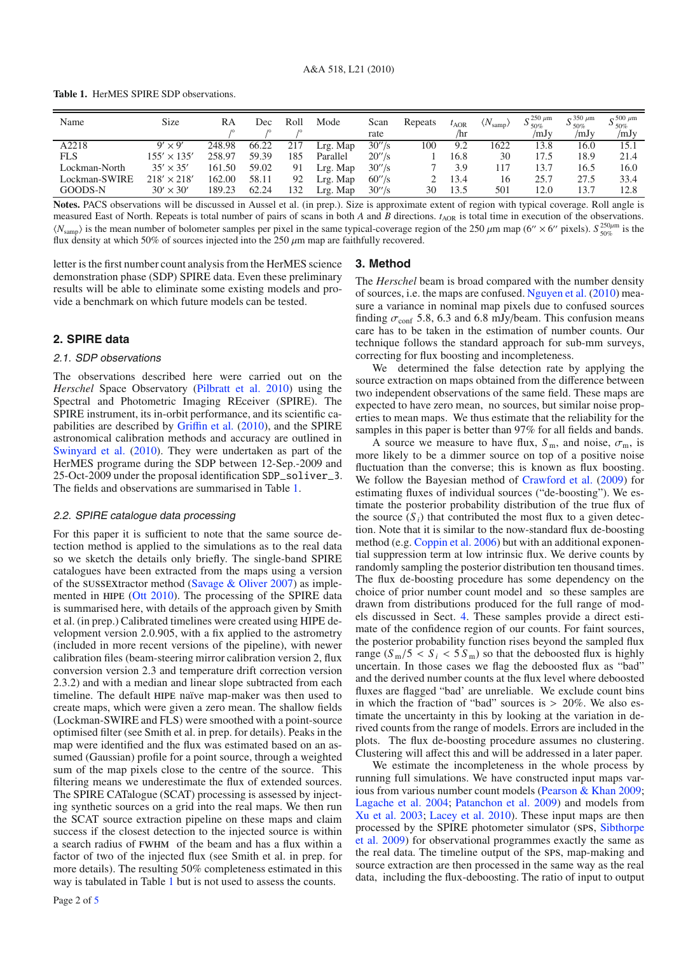<span id="page-1-0"></span>**Table 1.** HerMES SPIRE SDP observations.

| Name          | Size               | RA     | Dec   | Roll | Mode     | Scan   | Repeats | AOR  | $\langle N_{\rm samp}\rangle$ | $\approx 250 \mu m$<br>$\sim$ 50% | $\approx 350 \mu m$<br>$\sim$ 50% | $\approx$ 500 $\mu$ m<br>$\sim$ 50% |
|---------------|--------------------|--------|-------|------|----------|--------|---------|------|-------------------------------|-----------------------------------|-----------------------------------|-------------------------------------|
|               |                    |        |       |      |          | rate   |         | /hr  |                               | /mJv                              | /mJy                              | /mJy                                |
| A2218         | $\times$ 9'<br>Qʻ  | 248.98 | 66.22 | 217  | Lrg. Map | 30''/s | 100     | 9.2  | 1622                          | 13.8                              | 16.0                              | 15.1                                |
| <b>FLS</b>    | $155' \times 135'$ | 258.97 | 59.39 | 185  | Parallel | 20''/s |         | 16.8 | 30                            | 17.5                              | 18.9                              | 21.4                                |
| Lockman-North | $35' \times 35'$   | 161.50 | 59.02 | 91   | Lrg. Map | 30''/s |         | 3.9  | 117                           | 13.7                              | 16.5                              | 16.0                                |
| Lockman-SWIRE | $218' \times 218'$ | 162.00 | 58.11 | 92   | Lrg. Map | 60''/s |         | 13.4 | 16                            | 25.7                              | 27.5                              | 33.4                                |
| GOODS-N       | $30' \times 30'$   | 189.23 | 62.24 | 132  | Lrg. Map | 30''/s | 30      | 13.5 | 501                           | 12.0                              | 13.7                              | 12.8                                |

**Notes.** PACS observations will be discussed in Aussel et al. (in prep.). Size is approximate extent of region with typical coverage. Roll angle is measured East of North. Repeats is total number of pairs of scans in both *A* and *B* directions.  $t_{AOR}$  is total time in execution of the observations.  $\langle N_{\text{samp}} \rangle$  is the mean number of bolometer samples per pixel in the same typical-coverage region of the 250  $\mu$ m map (6"  $\times$  6" pixels).  $S_{50\%}^{250\mu m}$  is the flux density at which 50% of sources injected into the 250  $\mu$ m map are faithfully recovered.

letter is the first number count analysis from the HerMES science demonstration phase (SDP) SPIRE data. Even these preliminary results will be able to eliminate some existing models and provide a benchmark on which future models can be tested.

## **2. SPIRE data**

#### 2.1. SDP observations

The observations described here were carried out on the *Herschel* Space Observatory [\(Pilbratt et al. 2010](#page-3-19)) using the Spectral and Photometric Imaging REceiver (SPIRE). The SPIRE instrument, its in-orbit performance, and its scientific capabilities are described by Griffi[n et al.](#page-3-20) [\(2010](#page-3-20)), and the SPIRE astronomical calibration methods and accuracy are outlined in [Swinyard et al.](#page-3-21) [\(2010](#page-3-21)). They were undertaken as part of the HerMES programe during the SDP between 12-Sep.-2009 and 25-Oct-2009 under the proposal identification SDP\_soliver\_3. The fields and observations are summarised in Table [1.](#page-1-0)

## 2.2. SPIRE catalogue data processing

For this paper it is sufficient to note that the same source detection method is applied to the simulations as to the real data so we sketch the details only briefly. The single-band SPIRE catalogues have been extracted from the maps using a version of the sussextractor method [\(Savage & Oliver 2007\)](#page-3-22) as imple-mented in HIPE [\(Ott 2010](#page-3-23)). The processing of the SPIRE data is summarised here, with details of the approach given by Smith et al. (in prep.) Calibrated timelines were created using HIPE development version 2.0.905, with a fix applied to the astrometry (included in more recent versions of the pipeline), with newer calibration files (beam-steering mirror calibration version 2, flux conversion version 2.3 and temperature drift correction version 2.3.2) and with a median and linear slope subtracted from each timeline. The default hipe naïve map-maker was then used to create maps, which were given a zero mean. The shallow fields (Lockman-SWIRE and FLS) were smoothed with a point-source optimised filter (see Smith et al. in prep. for details). Peaks in the map were identified and the flux was estimated based on an assumed (Gaussian) profile for a point source, through a weighted sum of the map pixels close to the centre of the source. This filtering means we underestimate the flux of extended sources. The SPIRE CATalogue (SCAT) processing is assessed by injecting synthetic sources on a grid into the real maps. We then run the SCAT source extraction pipeline on these maps and claim success if the closest detection to the injected source is within a search radius of fwhm of the beam and has a flux within a factor of two of the injected flux (see Smith et al. in prep. for more details). The resulting 50% completeness estimated in this way is tabulated in Table [1](#page-1-0) but is not used to assess the counts.

#### **3. Method**

The *Herschel* beam is broad compared with the number density of sources, i.e. the maps are confused. [Nguyen et al.](#page-3-24) [\(2010\)](#page-3-24) measure a variance in nominal map pixels due to confused sources finding  $\sigma_{\text{conf}}$  5.8, 6.3 and 6.8 mJy/beam. This confusion means care has to be taken in the estimation of number counts. Our technique follows the standard approach for sub-mm surveys, correcting for flux boosting and incompleteness.

We determined the false detection rate by applying the source extraction on maps obtained from the difference between two independent observations of the same field. These maps are expected to have zero mean, no sources, but similar noise properties to mean maps. We thus estimate that the reliability for the samples in this paper is better than 97% for all fields and bands.

A source we measure to have flux,  $S_m$ , and noise,  $\sigma_m$ , is more likely to be a dimmer source on top of a positive noise fluctuation than the converse; this is known as flux boosting. We follow the Bayesian method of [Crawford et al.](#page-3-25) [\(2009](#page-3-25)) for estimating fluxes of individual sources ("de-boosting"). We estimate the posterior probability distribution of the true flux of the source  $(S_i)$  that contributed the most flux to a given detection. Note that it is similar to the now-standard flux de-boosting method (e.g. [Coppin et al. 2006](#page-3-7)) but with an additional exponential suppression term at low intrinsic flux. We derive counts by randomly sampling the posterior distribution ten thousand times. The flux de-boosting procedure has some dependency on the choice of prior number count model and so these samples are drawn from distributions produced for the full range of models discussed in Sect. [4.](#page-2-0) These samples provide a direct estimate of the confidence region of our counts. For faint sources, the posterior probability function rises beyond the sampled flux range  $(S_m/5 < S_i < 5 S_m)$  so that the deboosted flux is highly uncertain. In those cases we flag the deboosted flux as "bad" and the derived number counts at the flux level where deboosted fluxes are flagged "bad' are unreliable. We exclude count bins in which the fraction of "bad" sources is  $> 20\%$ . We also estimate the uncertainty in this by looking at the variation in derived counts from the range of models. Errors are included in the plots. The flux de-boosting procedure assumes no clustering. Clustering will affect this and will be addressed in a later paper.

We estimate the incompleteness in the whole process by running full simulations. We have constructed input maps various from various number count models [\(Pearson & Khan 2009](#page-3-26); [Lagache et al. 2004;](#page-3-27) [Patanchon et al. 2009\)](#page-3-15) and models from [Xu et al. 2003](#page-3-28); [Lacey et al. 2010](#page-3-29)). These input maps are then proc[essed](#page-3-30) [by](#page-3-30) [the](#page-3-30) [SPIRE](#page-3-30) [photometer](#page-3-30) [simulator](#page-3-30) [\(](#page-3-30)sps, Sibthorpe et al. [2009\)](#page-3-30) for observational programmes exactly the same as the real data. The timeline output of the sps, map-making and source extraction are then processed in the same way as the real data, including the flux-deboosting. The ratio of input to output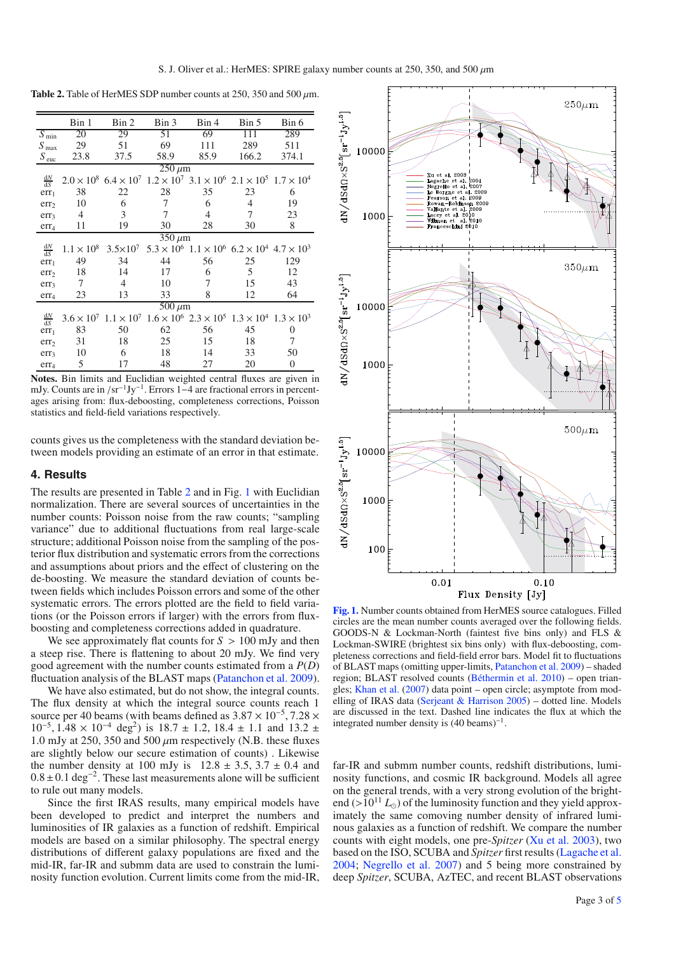<span id="page-2-1"></span>**Table 2.** Table of HerMES SDP number counts at 250, 350 and 500  $\mu$ m.

|                        | Bin 1             | Bin 2             | Bin 3 | Bin 4                                                                                                       | Bin 5 | Bin 6            |  |  |  |  |
|------------------------|-------------------|-------------------|-------|-------------------------------------------------------------------------------------------------------------|-------|------------------|--|--|--|--|
| $\overline{S}_{min}$   | 20                | 29                | 51    | 69                                                                                                          | 111   | 289              |  |  |  |  |
| $S_{\text{max}}$       | 29                | 51                | 69    | 111                                                                                                         | 289   | 511              |  |  |  |  |
| $S_{\text{euc}}$       | 23.8              | 37.5              | 58.9  | 85.9                                                                                                        | 166.2 | 374.1            |  |  |  |  |
| $\overline{250 \mu m}$ |                   |                   |       |                                                                                                             |       |                  |  |  |  |  |
| $\frac{dN}{dS}$        |                   |                   |       | $2.0 \times 10^8$ 6.4 $\times 10^7$ 1.2 $\times 10^7$ 3.1 $\times 10^6$ 2.1 $\times 10^5$ 1.7 $\times 10^4$ |       |                  |  |  |  |  |
| err <sub>1</sub>       | 38                | 22                | 28    | 35                                                                                                          | 23    | 6                |  |  |  |  |
| err <sub>2</sub>       | 10                | 6                 | 7     | 6                                                                                                           | 4     | 19               |  |  |  |  |
| err <sub>3</sub>       | 4                 | 3                 | 7     | 4                                                                                                           | 7     | 23               |  |  |  |  |
| err <sub>4</sub>       | 11                | 19                | 30    | 28                                                                                                          | 30    | 8                |  |  |  |  |
| $350 \mu m$            |                   |                   |       |                                                                                                             |       |                  |  |  |  |  |
| $\frac{dN}{dS}$        | $1.1 \times 10^8$ | $3.5\times10^{7}$ |       | $5.3 \times 10^6$ $1.1 \times 10^6$ $6.2 \times 10^4$ $4.7 \times 10^3$                                     |       |                  |  |  |  |  |
| err <sub>1</sub>       | 49                | 34                | 44    | 56                                                                                                          | 25    | 129              |  |  |  |  |
| err <sub>2</sub>       | 18                | 14                | 17    | 6                                                                                                           | 5     | 12               |  |  |  |  |
| err <sub>3</sub>       | 7                 | 4                 | 10    | 7                                                                                                           | 15    | 43               |  |  |  |  |
| err <sub>4</sub>       | 23                | 13                | 33    | 8                                                                                                           | 12    | 64               |  |  |  |  |
| $500 \ \mu m$          |                   |                   |       |                                                                                                             |       |                  |  |  |  |  |
| $\frac{dN}{dS}$        |                   |                   |       | $3.6 \times 10^7$ $1.1 \times 10^7$ $1.6 \times 10^6$ $2.3 \times 10^5$ $1.3 \times 10^4$ $1.3 \times 10^3$ |       |                  |  |  |  |  |
| err <sub>1</sub>       | 83                | 50                | 62    | 56                                                                                                          | 45    | 0                |  |  |  |  |
| err <sub>2</sub>       | 31                | 18                | 25    | 15                                                                                                          | 18    | 7                |  |  |  |  |
| err <sub>3</sub>       | 10                | 6                 | 18    | 14                                                                                                          | 33    | 50               |  |  |  |  |
| err <sub>4</sub>       | 5                 | 17                | 48    | 27                                                                                                          | 20    | $\boldsymbol{0}$ |  |  |  |  |
|                        |                   |                   |       |                                                                                                             |       |                  |  |  |  |  |

**Notes.** Bin limits and Euclidian weighted central fluxes are given in mJy. Counts are in /sr<sup>-1</sup>Jy<sup>-1</sup>. Errors 1–4 are fractional errors in percentages arising from: flux-deboosting, completeness corrections, Poisson statistics and field-field variations respectively.

counts gives us the completeness with the standard deviation between models providing an estimate of an error in that estimate.

### <span id="page-2-0"></span>**4. Results**

The results are presented in Table [2](#page-2-1) and in Fig. [1](#page-2-2) with Euclidian normalization. There are several sources of uncertainties in the number counts: Poisson noise from the raw counts; "sampling variance" due to additional fluctuations from real large-scale structure; additional Poisson noise from the sampling of the posterior flux distribution and systematic errors from the corrections and assumptions about priors and the effect of clustering on the de-boosting. We measure the standard deviation of counts between fields which includes Poisson errors and some of the other systematic errors. The errors plotted are the field to field variations (or the Poisson errors if larger) with the errors from fluxboosting and completeness corrections added in quadrature.

We see approximately flat counts for  $S > 100$  mJy and then a steep rise. There is flattening to about 20 mJy. We find very good agreement with the number counts estimated from a *P*(*D*) fluctuation analysis of the BLAST maps [\(Patanchon et al. 2009](#page-3-15)).

We have also estimated, but do not show, the integral counts. The flux density at which the integral source counts reach 1 source per 40 beams (with beams defined as  $3.87 \times 10^{-5}$ ,  $7.28 \times$  $10^{-5}$ ,  $1.48 \times 10^{-4}$  deg<sup>2</sup>) is 18.7 ± 1.2, 18.4 ± 1.1 and 13.2 ± 1.0 mJy at 250, 350 and 500  $\mu$ m respectively (N.B. these fluxes are slightly below our secure estimation of counts) . Likewise the number density at 100 mJy is  $12.8 \pm 3.5$ ,  $3.7 \pm 0.4$  and  $0.8 \pm 0.1 \text{ deg}^{-2}$ . These last measurements alone will be sufficient to rule out many models.

Since the first IRAS results, many empirical models have been developed to predict and interpret the numbers and luminosities of IR galaxies as a function of redshift. Empirical models are based on a similar philosophy. The spectral energy distributions of different galaxy populations are fixed and the mid-IR, far-IR and submm data are used to constrain the luminosity function evolution. Current limits come from the mid-IR,



<span id="page-2-2"></span>**[Fig. 1.](http://dexter.edpsciences.org/applet.php?DOI=10.1051/0004-6361/201014697&pdf_id=1)** Number counts obtained from HerMES source catalogues. Filled circles are the mean number counts averaged over the following fields. GOODS-N & Lockman-North (faintest five bins only) and FLS & Lockman-SWIRE (brightest six bins only) with flux-deboosting, completeness corrections and field-field error bars. Model fit to fluctuations of BLAST maps (omitting upper-limits, [Patanchon et al. 2009\)](#page-3-15) – shaded region; BLAST resolved counts [\(Béthermin et al. 2010](#page-3-16)) – open triangles; [Khan et al.](#page-3-8) [\(2007\)](#page-3-8) data point – open circle; asymptote from modelling of IRAS data [\(Serjeant & Harrison 2005](#page-3-31)) – dotted line. Models are discussed in the text. Dashed line indicates the flux at which the integrated number density is  $(40 \text{ beams})^{-1}$ .

far-IR and submm number counts, redshift distributions, luminosity functions, and cosmic IR background. Models all agree on the general trends, with a very strong evolution of the brightend ( $>10^{11} L_{\odot}$ ) of the luminosity function and they yield approximately the same comoving number density of infrared luminous galaxies as a function of redshift. We compare the number counts with eight models, one pre-*Spitzer* [\(Xu et al. 2003](#page-3-28)), two based on the ISO, SCUBA and *Spitzer* first results [\(Lagache et al.](#page-3-27) [2004](#page-3-27); [Negrello et al. 2007](#page-3-32)) and 5 being more constrained by deep *Spitzer*, SCUBA, AzTEC, and recent BLAST observations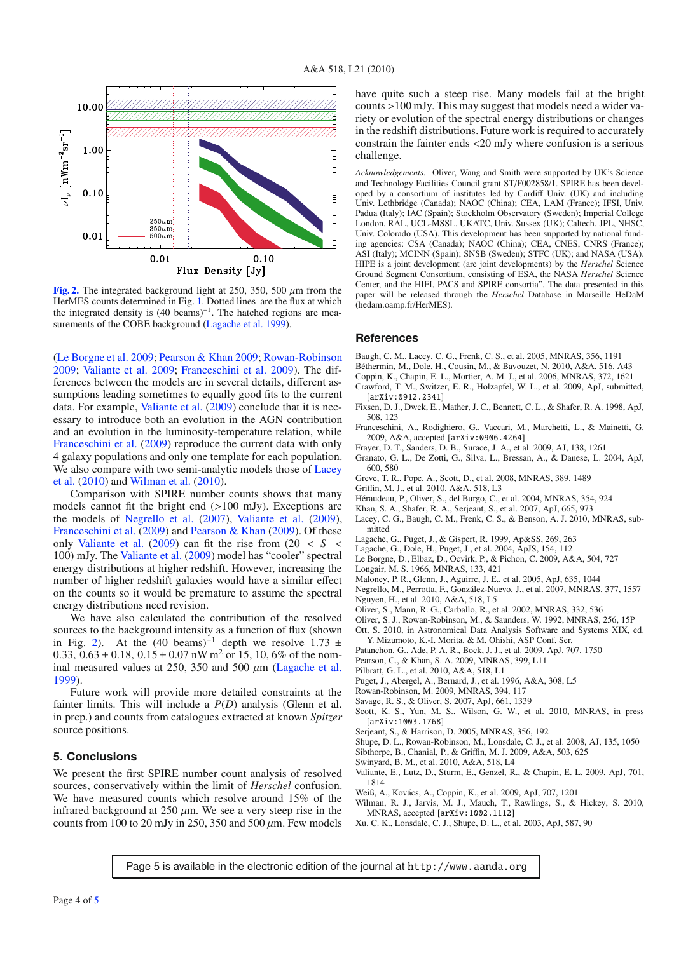<span id="page-3-38"></span>

**[Fig. 2.](http://dexter.edpsciences.org/applet.php?DOI=10.1051/0004-6361/201014697&pdf_id=2)** The integrated background light at 250, 350, 500 μm from the HerMES counts determined in Fig. [1.](#page-2-2) Dotted lines are the flux at which the integrated density is (40 beams)−1. The hatched regions are mea-surements of the COBE background [\(Lagache et al. 1999](#page-3-14)).

[\(Le Borgne et al. 2009;](#page-3-33) [Pearson & Khan 2009;](#page-3-26) [Rowan-Robinson](#page-3-34) [2009](#page-3-34); [Valiante et al. 2009](#page-3-35); [Franceschini et al. 2009](#page-3-36)). The differences between the models are in several details, different assumptions leading sometimes to equally good fits to the current data. For example, [Valiante et al.](#page-3-35) [\(2009](#page-3-35)) conclude that it is necessary to introduce both an evolution in the AGN contribution and an evolution in the luminosity-temperature relation, while [Franceschini et al.](#page-3-36) [\(2009\)](#page-3-36) reproduce the current data with only 4 galaxy populations and only one template for each population. We [also](#page-3-29) [compare](#page-3-29) [with](#page-3-29) [two](#page-3-29) [semi-analytic](#page-3-29) [models](#page-3-29) [those](#page-3-29) [of](#page-3-29) Lacey et al. [\(2010\)](#page-3-29) and [Wilman et al.](#page-3-37) [\(2010](#page-3-37)).

Comparison with SPIRE number counts shows that many models cannot fit the bright end (>100 mJy). Exceptions are the models of [Negrello et al.](#page-3-32) [\(2007](#page-3-32)), [Valiante et al.](#page-3-35) [\(2009](#page-3-35)), [Franceschini et al.](#page-3-36) [\(2009\)](#page-3-36) and [Pearson & Khan](#page-3-26) [\(2009](#page-3-26)). Of these only [Valiante et al.](#page-3-35)  $(2009)$  can fit the rise from  $(20 < S <$ 100) mJy. The [Valiante et al.](#page-3-35) [\(2009](#page-3-35)) model has "cooler" spectral energy distributions at higher redshift. However, increasing the number of higher redshift galaxies would have a similar effect on the counts so it would be premature to assume the spectral energy distributions need revision.

We have also calculated the contribution of the resolved sources to the background intensity as a function of flux (shown in Fig. [2\)](#page-3-38). At the (40 beams)<sup>-1</sup> depth we resolve 1.73 ± 0.33,  $0.63 \pm 0.18$ ,  $0.15 \pm 0.07$  nW m<sup>2</sup> or 15, 10, 6% of the nominal measured values at 250, 350 and 500  $\mu$ m [\(Lagache et al.](#page-3-14) [1999](#page-3-14)).

Future work will provide more detailed constraints at the fainter limits. This will include a *P*(*D*) analysis (Glenn et al. in prep.) and counts from catalogues extracted at known *Spitzer* source positions.

## **5. Conclusions**

We present the first SPIRE number count analysis of resolved sources, conservatively within the limit of *Herschel* confusion. We have measured counts which resolve around 15% of the infrared background at  $250 \mu m$ . We see a very steep rise in the counts from 100 to 20 mJy in 250, 350 and 500  $\mu$ m. Few models

have quite such a steep rise. Many models fail at the bright counts >100 mJy. This may suggest that models need a wider variety or evolution of the spectral energy distributions or changes in the redshift distributions. Future work is required to accurately constrain the fainter ends <20 mJy where confusion is a serious challenge.

*Acknowledgements.* Oliver, Wang and Smith were supported by UK's Science and Technology Facilities Council grant ST/F002858/1. SPIRE has been developed by a consortium of institutes led by Cardiff Univ. (UK) and including Univ. Lethbridge (Canada); NAOC (China); CEA, LAM (France); IFSI, Univ. Padua (Italy); IAC (Spain); Stockholm Observatory (Sweden); Imperial College London, RAL, UCL-MSSL, UKATC, Univ. Sussex (UK); Caltech, JPL, NHSC, Univ. Colorado (USA). This development has been supported by national funding agencies: CSA (Canada); NAOC (China); CEA, CNES, CNRS (France); ASI (Italy); MCINN (Spain); SNSB (Sweden); STFC (UK); and NASA (USA). HIPE is a joint development (are joint developments) by the *Herschel* Science Ground Segment Consortium, consisting of ESA, the NASA *Herschel* Science Center, and the HIFI, PACS and SPIRE consortia". The data presented in this paper will be released through the *Herschel* Database in Marseille HeDaM (hedam.oamp.fr/HerMES).

#### **References**

- <span id="page-3-17"></span>Baugh, C. M., Lacey, C. G., Frenk, C. S., et al. 2005, MNRAS, 356, 1191
- <span id="page-3-16"></span>Béthermin, M., Dole, H., Cousin, M., & Bavouzet, N. 2010, A&A, 516, A43
- <span id="page-3-25"></span><span id="page-3-7"></span>Coppin, K., Chapin, E. L., Mortier, A. M. J., et al. 2006, MNRAS, 372, 1621
- Crawford, T. M., Switzer, E. R., Holzapfel, W. L., et al. 2009, ApJ, submitted, [arXiv:0912.2341]
- <span id="page-3-13"></span>Fixsen, D. J., Dwek, E., Mather, J. C., Bennett, C. L., & Shafer, R. A. 1998, ApJ, 508, 123
- <span id="page-3-36"></span>Franceschini, A., Rodighiero, G., Vaccari, M., Marchetti, L., & Mainetti, G. 2009, A&A, accepted [arXiv:0906.4264]
- <span id="page-3-5"></span>Frayer, D. T., Sanders, D. B., Surace, J. A., et al. 2009, AJ, 138, 1261
- <span id="page-3-18"></span>Granato, G. L., De Zotti, G., Silva, L., Bressan, A., & Danese, L. 2004, ApJ, 600, 580
- <span id="page-3-9"></span>Greve, T. R., Pope, A., Scott, D., et al. 2008, MNRAS, 389, 1489
- <span id="page-3-20"></span>Griffin, M. J., et al. 2010, A&A, 518, L3
- Héraudeau, P., Oliver, S., del Burgo, C., et al. 2004, MNRAS, 354, 924
- <span id="page-3-8"></span><span id="page-3-3"></span>Khan, S. A., Shafer, R. A., Serjeant, S., et al. 2007, ApJ, 665, 973
- <span id="page-3-29"></span>Lacey, C. G., Baugh, C. M., Frenk, C. S., & Benson, A. J. 2010, MNRAS, submitted
- <span id="page-3-14"></span>Lagache, G., Puget, J., & Gispert, R. 1999, Ap&SS, 269, 263
- <span id="page-3-27"></span>Lagache, G., Dole, H., Puget, J., et al. 2004, ApJS, 154, 112
- <span id="page-3-33"></span>Le Borgne, D., Elbaz, D., Ocvirk, P., & Pichon, C. 2009, A&A, 504, 727
- <span id="page-3-0"></span>Longair, M. S. 1966, MNRAS, 133, 421
- <span id="page-3-6"></span>Maloney, P. R., Glenn, J., Aguirre, J. E., et al. 2005, ApJ, 635, 1044

<span id="page-3-32"></span>Negrello, M., Perrotta, F., González-Nuevo, J., et al. 2007, MNRAS, 377, 1557

- <span id="page-3-24"></span>Nguyen, H., et al. 2010, A&A, 518, L5
- Oliver, S., Mann, R. G., Carballo, R., et al. 2002, MNRAS, 332, 536
- <span id="page-3-2"></span><span id="page-3-1"></span>Oliver, S. J., Rowan-Robinson, M., & Saunders, W. 1992, MNRAS, 256, 15P
- <span id="page-3-23"></span>Ott, S. 2010, in Astronomical Data Analysis Software and Systems XIX, ed.
- Y. Mizumoto, K.-I. Morita, & M. Ohishi, ASP Conf. Ser. Patanchon, G., Ade, P. A. R., Bock, J. J., et al. 2009, ApJ, 707, 1750
- Pearson, C., & Khan, S. A. 2009, MNRAS, 399, L11
- <span id="page-3-26"></span><span id="page-3-19"></span><span id="page-3-15"></span>
- Pilbratt, G. L., et al. 2010, A&A, 518, L1
- Puget, J., Abergel, A., Bernard, J., et al. 1996, A&A, 308, L5
- <span id="page-3-12"></span>Rowan-Robinson, M. 2009, MNRAS, 394, 117
- Savage, R. S., & Oliver, S. 2007, ApJ, 661, 1339
- <span id="page-3-34"></span><span id="page-3-31"></span><span id="page-3-22"></span><span id="page-3-11"></span>Scott, K. S., Yun, M. S., Wilson, G. W., et al. 2010, MNRAS, in press [arXiv:1003.1768]
- Serjeant, S., & Harrison, D. 2005, MNRAS, 356, 192
- <span id="page-3-4"></span>Shupe, D. L., Rowan-Robinson, M., Lonsdale, C. J., et al. 2008, AJ, 135, 1050
- Sibthorpe, B., Chanial, P., & Griffin, M. J. 2009, A&A, 503, 625
- <span id="page-3-30"></span>Swinyard, B. M., et al. 2010, A&A, 518, L4
- Valiante, E., Lutz, D., Sturm, E., Genzel, R., & Chapin, E. L. 2009, ApJ, 701, 1814
- Weiß, A., Kovács, A., Coppin, K., et al. 2009, ApJ, 707, 1201
- Wilman, R. J., Jarvis, M. J., Mauch, T., Rawlings, S., & Hickey, S. 2010, MNRAS, accepted [arXiv:1002.1112]
- Xu, C. K., Lonsdale, C. J., Shupe, D. L., et al. 2003, ApJ, 587, 90

Page 5 is available in the electronic edition of the journal at http://www.aanda.org

<span id="page-3-37"></span><span id="page-3-35"></span><span id="page-3-28"></span><span id="page-3-21"></span><span id="page-3-10"></span>